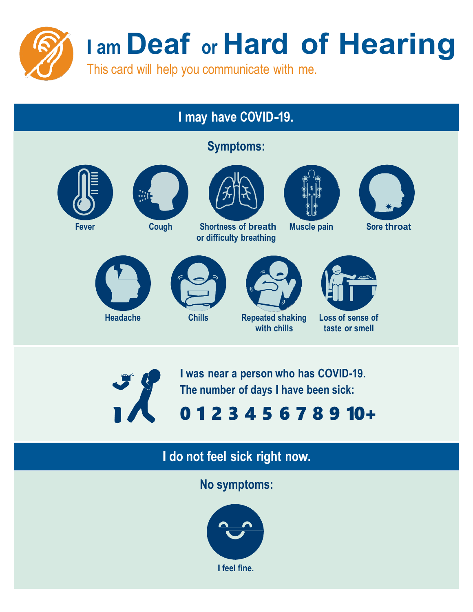

# **I may have COVID-19.**

**Symptoms:**







**Fever Cough Shortness of breath or difficulty breathing**





**Muscle pain Sore throat**





**I was near a person who has COVID-19. The number of days I have been sick:**

# 0 1 2 3 4 5 6 7 8 9 10+

# **I do not feel sick right now.**

**No symptoms:**